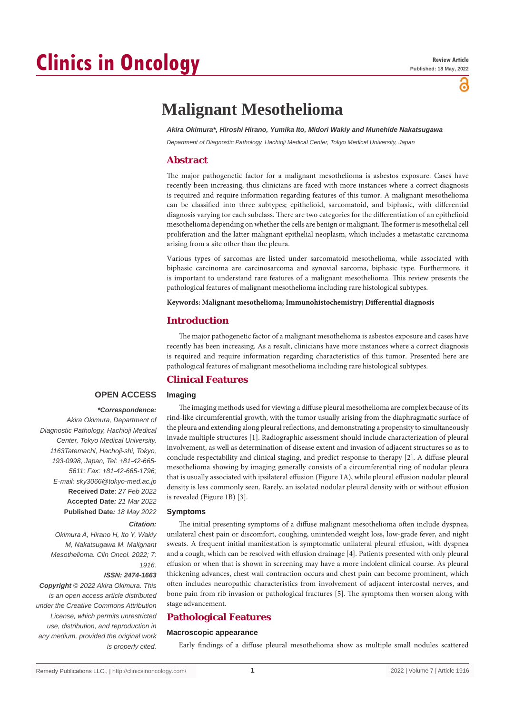# **Clinics in Oncology**

õ

# **Malignant Mesothelioma**

*Akira Okimura\*, Hiroshi Hirano, Yumika Ito, Midori Wakiy and Munehide Nakatsugawa*

*Department of Diagnostic Pathology, Hachioji Medical Center, Tokyo Medical University, Japan*

## **Abstract**

The major pathogenetic factor for a malignant mesothelioma is asbestos exposure. Cases have recently been increasing, thus clinicians are faced with more instances where a correct diagnosis is required and require information regarding features of this tumor. A malignant mesothelioma can be classified into three subtypes; epithelioid, sarcomatoid, and biphasic, with differential diagnosis varying for each subclass. There are two categories for the differentiation of an epithelioid mesothelioma depending on whether the cells are benign or malignant. The former is mesothelial cell proliferation and the latter malignant epithelial neoplasm, which includes a metastatic carcinoma arising from a site other than the pleura.

Various types of sarcomas are listed under sarcomatoid mesothelioma, while associated with biphasic carcinoma are carcinosarcoma and synovial sarcoma, biphasic type. Furthermore, it is important to understand rare features of a malignant mesothelioma. This review presents the pathological features of malignant mesothelioma including rare histological subtypes.

**Keywords: Malignant mesothelioma; Immunohistochemistry; Differential diagnosis**

### **Introduction**

The major pathogenetic factor of a malignant mesothelioma is asbestos exposure and cases have recently has been increasing. As a result, clinicians have more instances where a correct diagnosis is required and require information regarding characteristics of this tumor. Presented here are pathological features of malignant mesothelioma including rare histological subtypes.

# **Clinical Features**

#### **Imaging**

# **OPEN ACCESS**

 *\*Correspondence:*

*Akira Okimura, Department of Diagnostic Pathology, Hachioji Medical Center, Tokyo Medical University, 1163Tatemachi, Hachoji-shi, Tokyo, 193-0998, Japan, Tel: +81-42-665- 5611; Fax: +81-42-665-1796; E-mail: sky3066@tokyo-med.ac.jp* **Received Date**: *27 Feb 2022* **Accepted Date***: 21 Mar 2022* **Published Date***: 18 May 2022*

#### *Citation:*

*Okimura A, Hirano H, Ito Y, Wakiy M, Nakatsugawa M. Malignant Mesothelioma. Clin Oncol. 2022; 7: 1916.*

#### *ISSN: 2474-1663*

*Copyright © 2022 Akira Okimura. This is an open access article distributed under the Creative Commons Attribution License, which permits unrestricted use, distribution, and reproduction in any medium, provided the original work is properly cited.*

The imaging methods used for viewing a diffuse pleural mesothelioma are complex because of its rind-like circumferential growth, with the tumor usually arising from the diaphragmatic surface of the pleura and extending along pleural reflections, and demonstrating a propensity to simultaneously invade multiple structures [1]. Radiographic assessment should include characterization of pleural involvement, as well as determination of disease extent and invasion of adjacent structures so as to conclude respectability and clinical staging, and predict response to therapy [2]. A diffuse pleural mesothelioma showing by imaging generally consists of a circumferential ring of nodular pleura that is usually associated with ipsilateral effusion (Figure 1A), while pleural effusion nodular pleural density is less commonly seen. Rarely, an isolated nodular pleural density with or without effusion is revealed (Figure 1B) [3].

#### **Symptoms**

The initial presenting symptoms of a diffuse malignant mesothelioma often include dyspnea, unilateral chest pain or discomfort, coughing, unintended weight loss, low-grade fever, and night sweats. A frequent initial manifestation is symptomatic unilateral pleural effusion, with dyspnea and a cough, which can be resolved with effusion drainage [4]. Patients presented with only pleural effusion or when that is shown in screening may have a more indolent clinical course. As pleural thickening advances, chest wall contraction occurs and chest pain can become prominent, which often includes neuropathic characteristics from involvement of adjacent intercostal nerves, and bone pain from rib invasion or pathological fractures [5]. The symptoms then worsen along with stage advancement.

# **Pathological Features**

#### **Macroscopic appearance**

Early findings of a diffuse pleural mesothelioma show as multiple small nodules scattered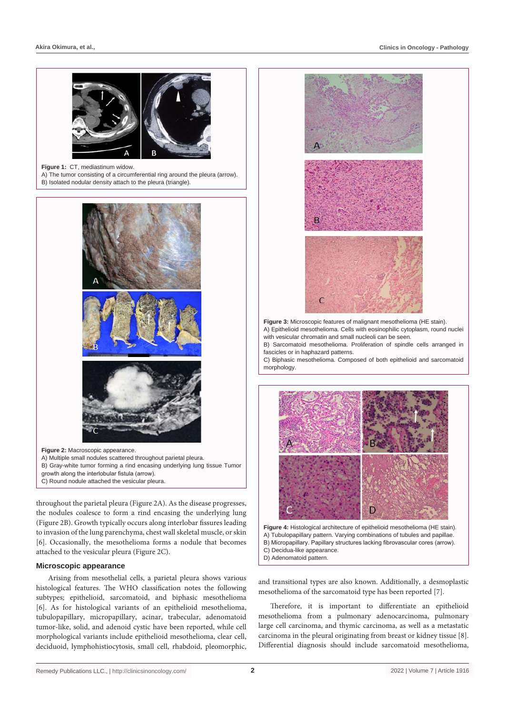

the nodules coalesce to form a rind encasing the underlying lung (Figure 2B). Growth typically occurs along interlobar fissures leading to invasion of the lung parenchyma, chest wall skeletal muscle, or skin [6]. Occasionally, the mesothelioma forms a nodule that becomes attached to the vesicular pleura (Figure 2C).

#### **Microscopic appearance**

Arising from mesothelial cells, a parietal pleura shows various histological features. The WHO classification notes the following subtypes; epithelioid, sarcomatoid, and biphasic mesothelioma [6]. As for histological variants of an epithelioid mesothelioma, tubulopapillary, micropapillary, acinar, trabecular, adenomatoid tumor-like, solid, and adenoid cystic have been reported, while cell morphological variants include epithelioid mesothelioma, clear cell, deciduoid, lymphohistiocytosis, small cell, rhabdoid, pleomorphic,



**Figure 3:** Microscopic features of malignant mesothelioma (HE stain). A) Epithelioid mesothelioma. Cells with eosinophilic cytoplasm, round nuclei with vesicular chromatin and small nucleoli can be seen.

B) Sarcomatoid mesothelioma. Proliferation of spindle cells arranged in fascicles or in haphazard patterns.

C) Biphasic mesothelioma. Composed of both epithelioid and sarcomatoid morphology.



**Figure 4:** Histological architecture of epithelioid mesothelioma (HE stain). A) Tubulopapillary pattern. Varying combinations of tubules and papillae. B) Micropapillary. Papillary structures lacking fibrovascular cores (arrow). C) Decidua-like appearance. D) Adenomatoid pattern.

and transitional types are also known. Additionally, a desmoplastic mesothelioma of the sarcomatoid type has been reported [7].

Therefore, it is important to differentiate an epithelioid mesothelioma from a pulmonary adenocarcinoma, pulmonary large cell carcinoma, and thymic carcinoma, as well as a metastatic carcinoma in the pleural originating from breast or kidney tissue [8]. Differential diagnosis should include sarcomatoid mesothelioma,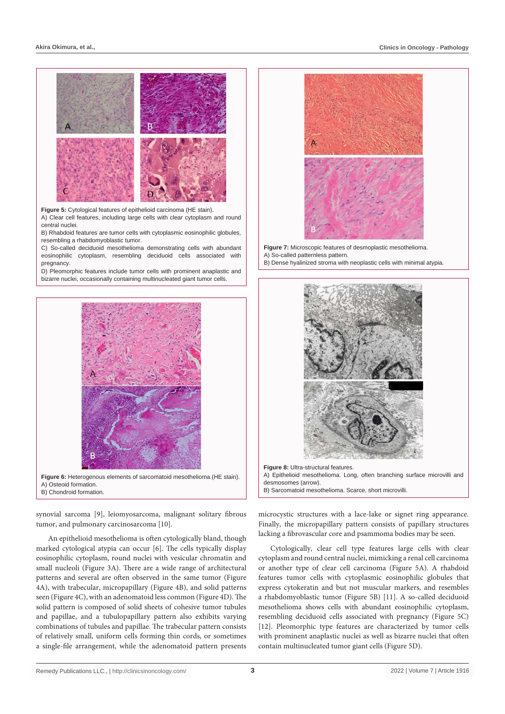

**Figure 5:** Cytological features of epithelioid carcinoma (HE stain).

A) Clear cell features, including large cells with clear cytoplasm and round central nuclei.

B) Rhabdoid features are tumor cells with cytoplasmic eosinophilic globules, resembling a rhabdomyoblastic tumor.

C) So-called deciduoid mesothelioma demonstrating cells with abundant eosinophilic cytoplasm, resembling deciduoid cells associated with pregnancy.

D) Pleomorphic features include tumor cells with prominent anaplastic and bizarre nuclei, occasionally containing multinucleated giant tumor cells.



**Figure 6:** Heterogenous elements of sarcomatoid mesothelioma (HE stain). A) Osteoid formation. B) Chondroid formation.

synovial sarcoma [9], leiomyosarcoma, malignant solitary fibrous tumor, and pulmonary carcinosarcoma [10].

An epithelioid mesothelioma is often cytologically bland, though marked cytological atypia can occur [6]. The cells typically display eosinophilic cytoplasm, round nuclei with vesicular chromatin and small nucleoli (Figure 3A). There are a wide range of architectural patterns and several are often observed in the same tumor (Figure 4A), with trabecular, micropapillary (Figure 4B), and solid patterns seen (Figure 4C), with an adenomatoid less common (Figure 4D). The solid pattern is composed of solid sheets of cohesive tumor tubules and papillae, and a tubulopapillary pattern also exhibits varying combinations of tubules and papillae. The trabecular pattern consists of relatively small, uniform cells forming thin cords, or sometimes a single-file arrangement, while the adenomatoid pattern presents



**Figure 7:** Microscopic features of desmoplastic mesothelioma. A) So-called patternless pattern. B) Dense hyalinized stroma with neoplastic cells with minimal atypia.



A) Epithelioid mesothelioma. Long, often branching surface microvilli and desmosomes (arrow). B) Sarcomatoid mesothelioma. Scarce, short microvilli.

microcystic structures with a lace-lake or signet ring appearance. Finally, the micropapillary pattern consists of papillary structures lacking a fibrovascular core and psammoma bodies may be seen.

Cytologically, clear cell type features large cells with clear cytoplasm and round central nuclei, mimicking a renal cell carcinoma or another type of clear cell carcinoma (Figure 5A). A rhabdoid features tumor cells with cytoplasmic eosinophilic globules that express cytokeratin and but not muscular markers, and resembles a rhabdomyoblastic tumor (Figure 5B) [11]. A so-called deciduoid mesothelioma shows cells with abundant eosinophilic cytoplasm, resembling deciduoid cells associated with pregnancy (Figure 5C) [12]. Pleomorphic type features are characterized by tumor cells with prominent anaplastic nuclei as well as bizarre nuclei that often contain multinucleated tumor giant cells (Figure 5D).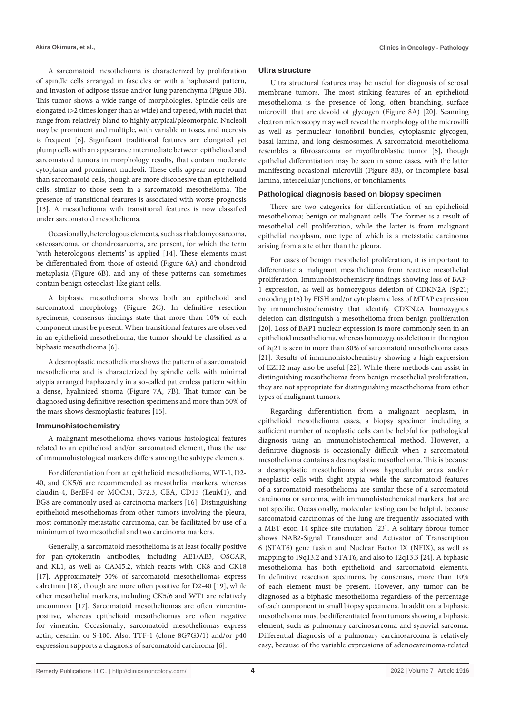A sarcomatoid mesothelioma is characterized by proliferation of spindle cells arranged in fascicles or with a haphazard pattern, and invasion of adipose tissue and/or lung parenchyma (Figure 3B). This tumor shows a wide range of morphologies. Spindle cells are elongated (>2 times longer than as wide) and tapered, with nuclei that range from relatively bland to highly atypical/pleomorphic. Nucleoli may be prominent and multiple, with variable mitoses, and necrosis is frequent [6]. Significant traditional features are elongated yet plump cells with an appearance intermediate between epithelioid and sarcomatoid tumors in morphology results, that contain moderate cytoplasm and prominent nucleoli. These cells appear more round than sarcomatoid cells, though are more discohesive than epithelioid cells, similar to those seen in a sarcomatoid mesothelioma. The presence of transitional features is associated with worse prognosis [13]. A mesothelioma with transitional features is now classified under sarcomatoid mesothelioma.

Occasionally, heterologous elements, such as rhabdomyosarcoma, osteosarcoma, or chondrosarcoma, are present, for which the term 'with heterologous elements' is applied [14]. These elements must be differentiated from those of osteoid (Figure 6A) and chondroid metaplasia (Figure 6B), and any of these patterns can sometimes contain benign osteoclast-like giant cells.

A biphasic mesothelioma shows both an epithelioid and sarcomatoid morphology (Figure 2C). In definitive resection specimens, consensus findings state that more than 10% of each component must be present. When transitional features are observed in an epithelioid mesothelioma, the tumor should be classified as a biphasic mesothelioma [6].

A desmoplastic mesothelioma shows the pattern of a sarcomatoid mesothelioma and is characterized by spindle cells with minimal atypia arranged haphazardly in a so-called patternless pattern within a dense, hyalinized stroma (Figure 7A, 7B). That tumor can be diagnosed using definitive resection specimens and more than 50% of the mass shows desmoplastic features [15].

#### **Immunohistochemistry**

A malignant mesothelioma shows various histological features related to an epithelioid and/or sarcomatoid element, thus the use of immunohistological markers differs among the subtype elements.

For differentiation from an epithelioid mesothelioma, WT-1, D2- 40, and CK5/6 are recommended as mesothelial markers, whereas claudin-4, BerEP4 or MOC31, B72.3, CEA, CD15 (LeuM1), and BG8 are commonly used as carcinoma markers [16]. Distinguishing epithelioid mesotheliomas from other tumors involving the pleura, most commonly metastatic carcinoma, can be facilitated by use of a minimum of two mesothelial and two carcinoma markers.

Generally, a sarcomatoid mesothelioma is at least focally positive for pan-cytokeratin antibodies, including AE1/AE3, OSCAR, and KL1, as well as CAM5.2, which reacts with CK8 and CK18 [17]. Approximately 30% of sarcomatoid mesotheliomas express calretinin [18], though are more often positive for D2-40 [19], while other mesothelial markers, including CK5/6 and WT1 are relatively uncommon [17]. Sarcomatoid mesotheliomas are often vimentinpositive, whereas epithelioid mesotheliomas are often negative for vimentin. Occasionally, sarcomatoid mesotheliomas express actin, desmin, or S-100. Also, TTF-1 (clone 8G7G3/1) and/or p40 expression supports a diagnosis of sarcomatoid carcinoma [6].

#### **Ultra structure**

Ultra structural features may be useful for diagnosis of serosal membrane tumors. The most striking features of an epithelioid mesothelioma is the presence of long, often branching, surface microvilli that are devoid of glycogen (Figure 8A) [20]. Scanning electron microscopy may well reveal the morphology of the microvilli as well as perinuclear tonofibril bundles, cytoplasmic glycogen, basal lamina, and long desmosomes. A sarcomatoid mesothelioma resembles a fibrosarcoma or myofibroblastic tumor [5], though epithelial differentiation may be seen in some cases, with the latter manifesting occasional microvilli (Figure 8B), or incomplete basal lamina, intercellular junctions, or tonofilaments.

#### **Pathological diagnosis based on biopsy specimen**

There are two categories for differentiation of an epithelioid mesothelioma; benign or malignant cells. The former is a result of mesothelial cell proliferation, while the latter is from malignant epithelial neoplasm, one type of which is a metastatic carcinoma arising from a site other than the pleura.

For cases of benign mesothelial proliferation, it is important to differentiate a malignant mesothelioma from reactive mesothelial proliferation. Immunohistochemistry findings showing loss of BAP-1 expression, as well as homozygous deletion of CDKN2A (9p21; encoding p16) by FISH and/or cytoplasmic loss of MTAP expression by immunohistochemistry that identify CDKN2A homozygous deletion can distinguish a mesothelioma from benign proliferation [20]. Loss of BAP1 nuclear expression is more commonly seen in an epithelioid mesothelioma, whereas homozygous deletion in the region of 9q21 is seen in more than 80% of sarcomatoid mesothelioma cases [21]. Results of immunohistochemistry showing a high expression of EZH2 may also be useful [22]. While these methods can assist in distinguishing mesothelioma from benign mesothelial proliferation, they are not appropriate for distinguishing mesothelioma from other types of malignant tumors.

Regarding differentiation from a malignant neoplasm, in epithelioid mesothelioma cases, a biopsy specimen including a sufficient number of neoplastic cells can be helpful for pathological diagnosis using an immunohistochemical method. However, a definitive diagnosis is occasionally difficult when a sarcomatoid mesothelioma contains a desmoplastic mesothelioma. This is because a desmoplastic mesothelioma shows hypocellular areas and/or neoplastic cells with slight atypia, while the sarcomatoid features of a sarcomatoid mesothelioma are similar those of a sarcomatoid carcinoma or sarcoma, with immunohistochemical markers that are not specific. Occasionally, molecular testing can be helpful, because sarcomatoid carcinomas of the lung are frequently associated with a MET exon 14 splice-site mutation [23]. A solitary fibrous tumor shows NAB2-Signal Transducer and Activator of Transcription 6 (STAT6) gene fusion and Nuclear Factor IX (NFIX), as well as mapping to 19q13.2 and STAT6, and also to 12q13.3 [24]. A biphasic mesothelioma has both epithelioid and sarcomatoid elements. In definitive resection specimens, by consensus, more than 10% of each element must be present. However, any tumor can be diagnosed as a biphasic mesothelioma regardless of the percentage of each component in small biopsy specimens. In addition, a biphasic mesothelioma must be differentiated from tumors showing a biphasic element, such as pulmonary carcinosarcoma and synovial sarcoma. Differential diagnosis of a pulmonary carcinosarcoma is relatively easy, because of the variable expressions of adenocarcinoma-related